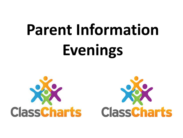# **Parent Information Evenings**



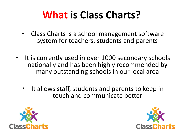## **What is Class Charts?**

- Class Charts is a school management software system for teachers, students and parents
- It is currently used in over 1000 secondary schools nationally and has been highly recommended by many outstanding schools in our local area
	- It allows staff, students and parents to keep in touch and communicate better



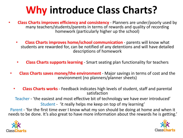### **Why introduce Class Charts?**

- **Class Charts improves efficiency and consistency**  Planners are under/poorly used by many teachers/students/parents in terms of rewards and quality of recording homework (particularly higher up the school)
	- **Class Charts improves home/school communication**  parents will know what students are rewarded for, can be notified of any detentions and will have detailed descriptions of homework
	- **Class Charts supports learning**  Smart seating plan functionality for teachers
- **Class Charts saves money/the environment**  Major savings in terms of cost and the environment (no planners/planner sheets)
	- **Class Charts works**  Feedback indicates high levels of student, staff and parental satisfaction

Teacher - 'the easiest and most effective bit of technology we have ever introduced' Student - 'it really helps me keep on top of my learning'

Parent - 'for the first time ever I know what my son should be doing at home and when it needs to be done. It's also great to have more information about the rewards he is getting.'



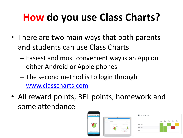# **How do you use Class Charts?**

- There are two main ways that both parents and students can use Class Charts.
	- Easiest and most convenient way is an App on either Android or Apple phones
	- The second method is to login through [www.classcharts.com](http://www.classcharts.com/)
- All reward points, BFL points, homework and some attendance

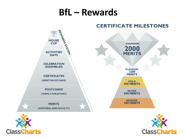### **BfL – Rewards**





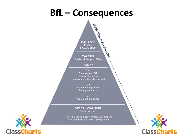### **BfL – Consequences**



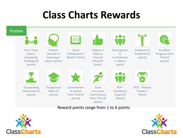### **Class Charts Rewards**



#### Reward points range from 1 to 6 points



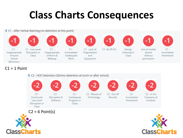### **Class Charts Consequences**

← C1 - After Verbal Warning (no detention at this point)



#### $C1 = 1$  Point





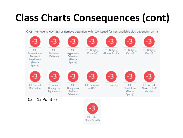# **Class Charts Consequences (cont)**

♦ C3 - Remove to HOF (SLT or Remove detention with AZM issued for next available slot) depending on na

| -3                                                                                  |                                        |                                                           | -3                                 | -3                            |                                             |                                         |
|-------------------------------------------------------------------------------------|----------------------------------------|-----------------------------------------------------------|------------------------------------|-------------------------------|---------------------------------------------|-----------------------------------------|
| $C3 -$<br>Possession of<br>Banned /<br><b>Illegal</b> Items<br>(Please)<br>Specify) | $C3 -$<br>Persistant<br>Defiance       | $C3 -$<br>Aggressive<br>Behaviour<br>(Please)<br>Specify) | C3 - Bullying<br>(General)         | C3 - Bullying<br>(Homophobic) | C3 - Bullying<br>(Sexist)                   | C3 - Bullying<br>(Racist)               |
|                                                                                     |                                        |                                                           | -3                                 | -3                            |                                             | $\mathbf{B}$                            |
| C <sub>3</sub> - Sexual<br><b>Misconduct</b>                                        | C3 - Abuse /<br>Damage to<br>Equipment | $C3 -$<br>Dangerous<br><b>Reckless</b><br>Behaviour       | C <sub>3</sub> - Removal<br>to HOF | C <sub>3</sub> - Truancy      | $C3 -$<br>Vandalism<br>(Please)<br>Specify) | C3 - Verbal<br>Abuse to Staff<br>Member |
| $C3 = 12$ Point(s)                                                                  |                                        |                                                           |                                    |                               |                                             |                                         |

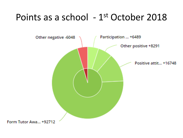### Points as a school - 1<sup>st</sup> October 2018

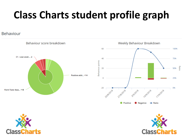## **Class Charts student profile graph**

#### Behaviour





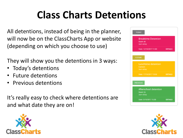## **Class Charts Detentions**

All detentions, instead of being in the planner, will now be on the ClassCharts App or website (depending on which you choose to use)

They will show you the detentions in 3 ways:

- Today's detentions
- Future detentions
- Previous detentions

It's really easy to check where detentions are and what date they are on!





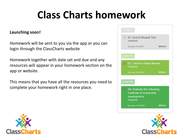## **Class Charts homework**

#### **Launching soon!**

Homework will be sent to you via the app or you can login through the ClassCharts website

Homework together with date set and due and any resources will appear in your homework section on the app or website.

This means that you have all the resources you need to complete your homework right in one place.